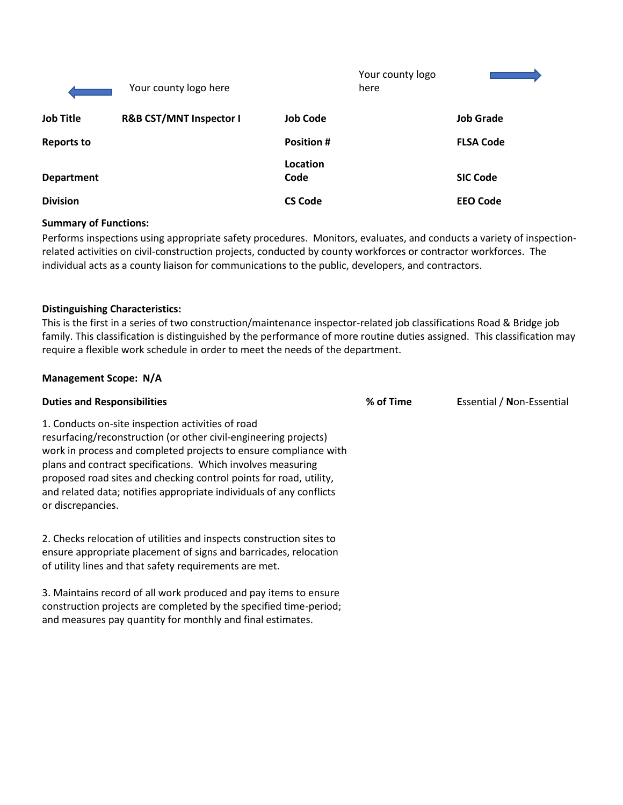|                   | Your county logo here              |                   | Your county logo<br>here |                  |
|-------------------|------------------------------------|-------------------|--------------------------|------------------|
| <b>Job Title</b>  | <b>R&amp;B CST/MNT Inspector I</b> | <b>Job Code</b>   |                          | <b>Job Grade</b> |
| <b>Reports to</b> |                                    | <b>Position #</b> |                          | <b>FLSA Code</b> |
| <b>Department</b> |                                    | Location<br>Code  |                          | <b>SIC Code</b>  |
| <b>Division</b>   |                                    | <b>CS Code</b>    |                          | <b>EEO Code</b>  |

### **Summary of Functions:**

Performs inspections using appropriate safety procedures. Monitors, evaluates, and conducts a variety of inspectionrelated activities on civil-construction projects, conducted by county workforces or contractor workforces. The individual acts as a county liaison for communications to the public, developers, and contractors.

### **Distinguishing Characteristics:**

This is the first in a series of two construction/maintenance inspector-related job classifications Road & Bridge job family. This classification is distinguished by the performance of more routine duties assigned. This classification may require a flexible work schedule in order to meet the needs of the department.

### **Management Scope: N/A**

| <b>Duties and Responsibilities</b>                                                                                                                                                                                                                                                                                                                                                                                         | % of Time | Essential / Non-Essential |
|----------------------------------------------------------------------------------------------------------------------------------------------------------------------------------------------------------------------------------------------------------------------------------------------------------------------------------------------------------------------------------------------------------------------------|-----------|---------------------------|
| 1. Conducts on-site inspection activities of road<br>resurfacing/reconstruction (or other civil-engineering projects)<br>work in process and completed projects to ensure compliance with<br>plans and contract specifications. Which involves measuring<br>proposed road sites and checking control points for road, utility,<br>and related data; notifies appropriate individuals of any conflicts<br>or discrepancies. |           |                           |
| 2. Checks relocation of utilities and inspects construction sites to<br>restricted to the contract of the contract of the contract of the contract of the contract of the contract of                                                                                                                                                                                                                                      |           |                           |

ensure appropriate placement of signs and barricades, relocation of utility lines and that safety requirements are met.

3. Maintains record of all work produced and pay items to ensure construction projects are completed by the specified time-period; and measures pay quantity for monthly and final estimates.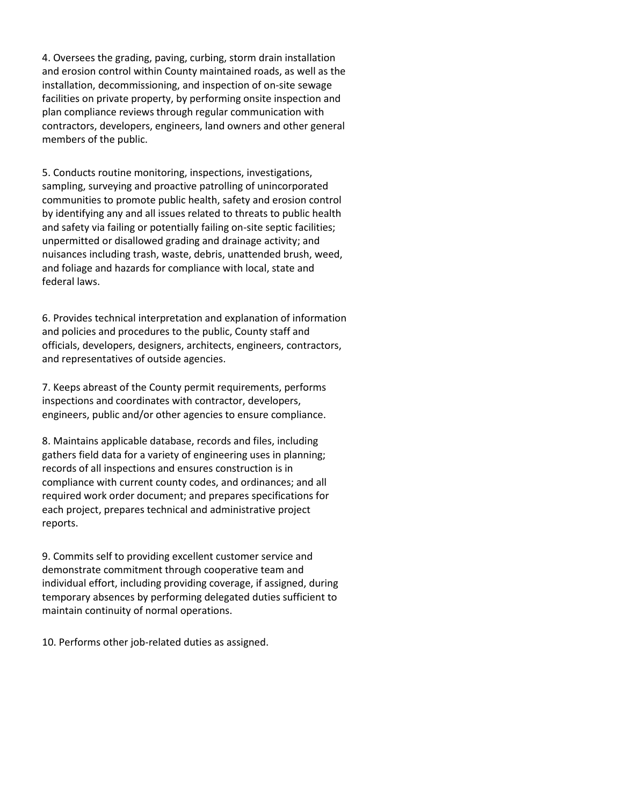4. Oversees the grading, paving, curbing, storm drain installation and erosion control within County maintained roads, as well as the installation, decommissioning, and inspection of on-site sewage facilities on private property, by performing onsite inspection and plan compliance reviews through regular communication with contractors, developers, engineers, land owners and other general members of the public.

5. Conducts routine monitoring, inspections, investigations, sampling, surveying and proactive patrolling of unincorporated communities to promote public health, safety and erosion control by identifying any and all issues related to threats to public health and safety via failing or potentially failing on-site septic facilities; unpermitted or disallowed grading and drainage activity; and nuisances including trash, waste, debris, unattended brush, weed, and foliage and hazards for compliance with local, state and federal laws.

6. Provides technical interpretation and explanation of information and policies and procedures to the public, County staff and officials, developers, designers, architects, engineers, contractors, and representatives of outside agencies.

7. Keeps abreast of the County permit requirements, performs inspections and coordinates with contractor, developers, engineers, public and/or other agencies to ensure compliance.

8. Maintains applicable database, records and files, including gathers field data for a variety of engineering uses in planning; records of all inspections and ensures construction is in compliance with current county codes, and ordinances; and all required work order document; and prepares specifications for each project, prepares technical and administrative project reports.

9. Commits self to providing excellent customer service and demonstrate commitment through cooperative team and individual effort, including providing coverage, if assigned, during temporary absences by performing delegated duties sufficient to maintain continuity of normal operations.

10. Performs other job-related duties as assigned.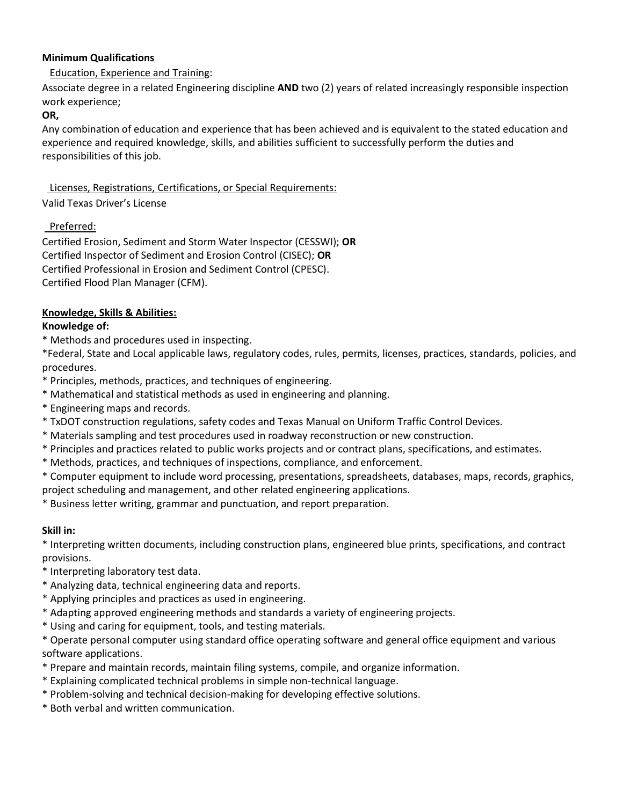## **Minimum Qualifications**

# Education, Experience and Training:

Associate degree in a related Engineering discipline **AND** two (2) years of related increasingly responsible inspection work experience;

#### **OR,**

Any combination of education and experience that has been achieved and is equivalent to the stated education and experience and required knowledge, skills, and abilities sufficient to successfully perform the duties and responsibilities of this job.

## Licenses, Registrations, Certifications, or Special Requirements:

## Valid Texas Driver's License

# Preferred:

Certified Erosion, Sediment and Storm Water Inspector (CESSWI); **OR** Certified Inspector of Sediment and Erosion Control (CISEC); **OR** Certified Professional in Erosion and Sediment Control (CPESC). Certified Flood Plan Manager (CFM).

# **Knowledge, Skills & Abilities:**

### **Knowledge of:**

\* Methods and procedures used in inspecting.

\*Federal, State and Local applicable laws, regulatory codes, rules, permits, licenses, practices, standards, policies, and procedures.

- \* Principles, methods, practices, and techniques of engineering.
- \* Mathematical and statistical methods as used in engineering and planning.
- \* Engineering maps and records.
- \* TxDOT construction regulations, safety codes and Texas Manual on Uniform Traffic Control Devices.
- \* Materials sampling and test procedures used in roadway reconstruction or new construction.
- \* Principles and practices related to public works projects and or contract plans, specifications, and estimates.
- \* Methods, practices, and techniques of inspections, compliance, and enforcement.
- \* Computer equipment to include word processing, presentations, spreadsheets, databases, maps, records, graphics, project scheduling and management, and other related engineering applications.

\* Business letter writing, grammar and punctuation, and report preparation.

# **Skill in:**

\* Interpreting written documents, including construction plans, engineered blue prints, specifications, and contract provisions.

- \* Interpreting laboratory test data.
- \* Analyzing data, technical engineering data and reports.
- \* Applying principles and practices as used in engineering.
- \* Adapting approved engineering methods and standards a variety of engineering projects.
- \* Using and caring for equipment, tools, and testing materials.

\* Operate personal computer using standard office operating software and general office equipment and various software applications.

- \* Prepare and maintain records, maintain filing systems, compile, and organize information.
- \* Explaining complicated technical problems in simple non-technical language.
- \* Problem-solving and technical decision-making for developing effective solutions.
- \* Both verbal and written communication.